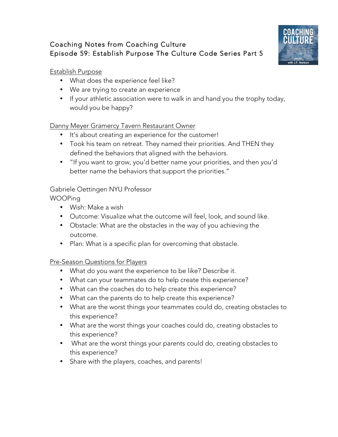# Coaching Notes from Coaching Culture Episode 59: Establish Purpose The Culture Code Series Part 5



#### Establish Purpose

- What does the experience feel like?
- We are trying to create an experience
- If your athletic association were to walk in and hand you the trophy today, would you be happy?

## Danny Meyer Gramercy Tavern Restaurant Owner

- It's about creating an experience for the customer!
- Took his team on retreat. They named their priorities. And THEN they defined the behaviors that aligned with the behaviors.
- "If you want to grow, you'd better name your priorities, and then you'd better name the behaviors that support the priorities."

## Gabriele Oettingen NYU Professor

WOOPing

- Wish: Make a wish
- Outcome: Visualize what the outcome will feel, look, and sound like.
- Obstacle: What are the obstacles in the way of you achieving the outcome.
- Plan: What is a specific plan for overcoming that obstacle.

#### Pre-Season Questions for Players

- What do you want the experience to be like? Describe it.
- What can your teammates do to help create this experience?
- What can the coaches do to help create this experience?
- What can the parents do to help create this experience?
- What are the worst things your teammates could do, creating obstacles to this experience?
- What are the worst things your coaches could do, creating obstacles to this experience?
- What are the worst things your parents could do, creating obstacles to this experience?
- Share with the players, coaches, and parents!